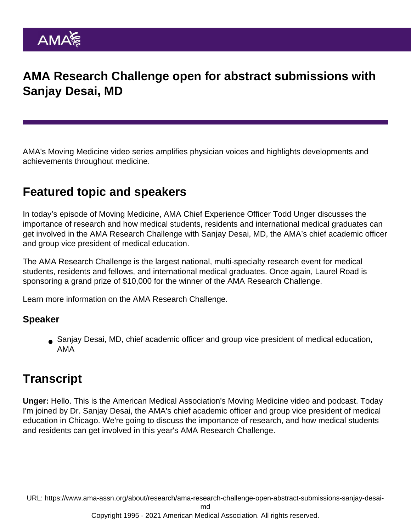## AMA Research Challenge open for abstract submissions with Sanjay Desai, MD

AMA's Moving Medicine video series amplifies physician voices and highlights developments and achievements throughout medicine.

## Featured topic and speakers

In today's episode of Moving Medicine, AMA Chief Experience Officer Todd Unger discusses the importance of research and how medical students, residents and international medical graduates can get involved in the AMA Research Challenge with Sanjay Desai, MD, the AMA's chief academic officer and group vice president of medical education.

The AMA Research Challenge is the largest national, multi-specialty research event for medical students, residents and fellows, and international medical graduates. Once again, Laurel Road is sponsoring a grand prize of \$10,000 for the winner of the AMA Research Challenge.

Learn more information on the [AMA Research Challenge](http://ama-assn.org/researchchallenge).

Speaker

Sanjay Desai, MD, chief academic officer and group vice president of medical education, AMA

## **Transcript**

Unger: Hello. This is the American Medical Association's Moving Medicine video and podcast. Today I'm joined by Dr. Sanjay Desai, the AMA's chief academic officer and group vice president of medical education in Chicago. We're going to discuss the importance of research, and how medical students and residents can get involved in this year's AMA Research Challenge.

URL: [https://www.ama-assn.org/about/research/ama-research-challenge-open-abstract-submissions-sanjay-desai-](https://www.ama-assn.org/about/research/ama-research-challenge-open-abstract-submissions-sanjay-desai-md)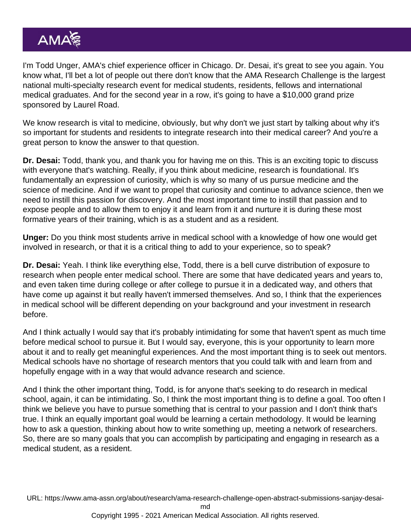I'm Todd Unger, AMA's chief experience officer in Chicago. Dr. Desai, it's great to see you again. You know what, I'll bet a lot of people out there don't know that the AMA Research Challenge is the largest national multi-specialty research event for medical students, residents, fellows and international medical graduates. And for the second year in a row, it's going to have a \$10,000 grand prize sponsored by Laurel Road.

We know research is vital to medicine, obviously, but why don't we just start by talking about why it's so important for students and residents to integrate research into their medical career? And you're a great person to know the answer to that question.

Dr. Desai: Todd, thank you, and thank you for having me on this. This is an exciting topic to discuss with everyone that's watching. Really, if you think about medicine, research is foundational. It's fundamentally an expression of curiosity, which is why so many of us pursue medicine and the science of medicine. And if we want to propel that curiosity and continue to advance science, then we need to instill this passion for discovery. And the most important time to instill that passion and to expose people and to allow them to enjoy it and learn from it and nurture it is during these most formative years of their training, which is as a student and as a resident.

Unger: Do you think most students arrive in medical school with a knowledge of how one would get involved in research, or that it is a critical thing to add to your experience, so to speak?

Dr. Desai: Yeah. I think like everything else, Todd, there is a bell curve distribution of exposure to research when people enter medical school. There are some that have dedicated years and years to, and even taken time during college or after college to pursue it in a dedicated way, and others that have come up against it but really haven't immersed themselves. And so, I think that the experiences in medical school will be different depending on your background and your investment in research before.

And I think actually I would say that it's probably intimidating for some that haven't spent as much time before medical school to pursue it. But I would say, everyone, this is your opportunity to learn more about it and to really get meaningful experiences. And the most important thing is to seek out mentors. Medical schools have no shortage of research mentors that you could talk with and learn from and hopefully engage with in a way that would advance research and science.

And I think the other important thing, Todd, is for anyone that's seeking to do research in medical school, again, it can be intimidating. So, I think the most important thing is to define a goal. Too often I think we believe you have to pursue something that is central to your passion and I don't think that's true. I think an equally important goal would be learning a certain methodology. It would be learning how to ask a question, thinking about how to write something up, meeting a network of researchers. So, there are so many goals that you can accomplish by participating and engaging in research as a medical student, as a resident.

URL: [https://www.ama-assn.org/about/research/ama-research-challenge-open-abstract-submissions-sanjay-desai-](https://www.ama-assn.org/about/research/ama-research-challenge-open-abstract-submissions-sanjay-desai-md)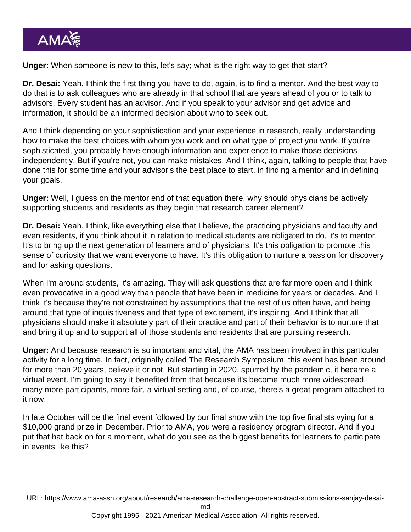Unger: When someone is new to this, let's say; what is the right way to get that start?

Dr. Desai: Yeah. I think the first thing you have to do, again, is to find a mentor. And the best way to do that is to ask colleagues who are already in that school that are years ahead of you or to talk to advisors. Every student has an advisor. And if you speak to your advisor and get advice and information, it should be an informed decision about who to seek out.

And I think depending on your sophistication and your experience in research, really understanding how to make the best choices with whom you work and on what type of project you work. If you're sophisticated, you probably have enough information and experience to make those decisions independently. But if you're not, you can make mistakes. And I think, again, talking to people that have done this for some time and your advisor's the best place to start, in finding a mentor and in defining your goals.

Unger: Well, I guess on the mentor end of that equation there, why should physicians be actively supporting students and residents as they begin that research career element?

Dr. Desai: Yeah. I think, like everything else that I believe, the practicing physicians and faculty and even residents, if you think about it in relation to medical students are obligated to do, it's to mentor. It's to bring up the next generation of learners and of physicians. It's this obligation to promote this sense of curiosity that we want everyone to have. It's this obligation to nurture a passion for discovery and for asking questions.

When I'm around students, it's amazing. They will ask questions that are far more open and I think even provocative in a good way than people that have been in medicine for years or decades. And I think it's because they're not constrained by assumptions that the rest of us often have, and being around that type of inquisitiveness and that type of excitement, it's inspiring. And I think that all physicians should make it absolutely part of their practice and part of their behavior is to nurture that and bring it up and to support all of those students and residents that are pursuing research.

Unger: And because research is so important and vital, the AMA has been involved in this particular activity for a long time. In fact, originally called The Research Symposium, this event has been around for more than 20 years, believe it or not. But starting in 2020, spurred by the pandemic, it became a virtual event. I'm going to say it benefited from that because it's become much more widespread, many more participants, more fair, a virtual setting and, of course, there's a great program attached to it now.

In late October will be the final event followed by our final show with the top five finalists vying for a \$10,000 grand prize in December. Prior to AMA, you were a residency program director. And if you put that hat back on for a moment, what do you see as the biggest benefits for learners to participate in events like this?

URL: [https://www.ama-assn.org/about/research/ama-research-challenge-open-abstract-submissions-sanjay-desai-](https://www.ama-assn.org/about/research/ama-research-challenge-open-abstract-submissions-sanjay-desai-md)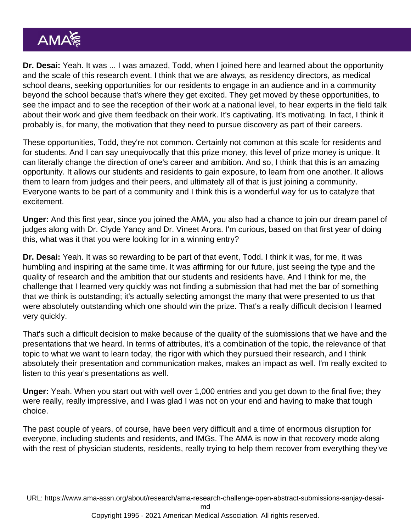Dr. Desai: Yeah. It was ... I was amazed, Todd, when I joined here and learned about the opportunity and the scale of this research event. I think that we are always, as residency directors, as medical school deans, seeking opportunities for our residents to engage in an audience and in a community beyond the school because that's where they get excited. They get moved by these opportunities, to see the impact and to see the reception of their work at a national level, to hear experts in the field talk about their work and give them feedback on their work. It's captivating. It's motivating. In fact, I think it probably is, for many, the motivation that they need to pursue discovery as part of their careers.

These opportunities, Todd, they're not common. Certainly not common at this scale for residents and for students. And I can say unequivocally that this prize money, this level of prize money is unique. It can literally change the direction of one's career and ambition. And so, I think that this is an amazing opportunity. It allows our students and residents to gain exposure, to learn from one another. It allows them to learn from judges and their peers, and ultimately all of that is just joining a community. Everyone wants to be part of a community and I think this is a wonderful way for us to catalyze that excitement.

Unger: And this first year, since you joined the AMA, you also had a chance to join our dream panel of judges along with Dr. Clyde Yancy and Dr. Vineet Arora. I'm curious, based on that first year of doing this, what was it that you were looking for in a winning entry?

Dr. Desai: Yeah. It was so rewarding to be part of that event, Todd. I think it was, for me, it was humbling and inspiring at the same time. It was affirming for our future, just seeing the type and the quality of research and the ambition that our students and residents have. And I think for me, the challenge that I learned very quickly was not finding a submission that had met the bar of something that we think is outstanding; it's actually selecting amongst the many that were presented to us that were absolutely outstanding which one should win the prize. That's a really difficult decision I learned very quickly.

That's such a difficult decision to make because of the quality of the submissions that we have and the presentations that we heard. In terms of attributes, it's a combination of the topic, the relevance of that topic to what we want to learn today, the rigor with which they pursued their research, and I think absolutely their presentation and communication makes, makes an impact as well. I'm really excited to listen to this year's presentations as well.

Unger: Yeah. When you start out with well over 1,000 entries and you get down to the final five; they were really, really impressive, and I was glad I was not on your end and having to make that tough choice.

The past couple of years, of course, have been very difficult and a time of enormous disruption for everyone, including students and residents, and IMGs. The AMA is now in that recovery mode along with the rest of physician students, residents, really trying to help them recover from everything they've

URL: [https://www.ama-assn.org/about/research/ama-research-challenge-open-abstract-submissions-sanjay-desai-](https://www.ama-assn.org/about/research/ama-research-challenge-open-abstract-submissions-sanjay-desai-md)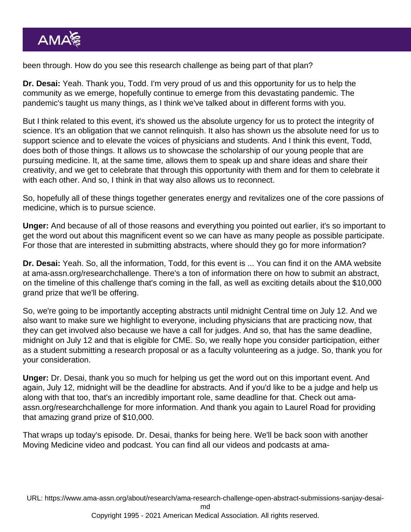been through. How do you see this research challenge as being part of that plan?

Dr. Desai: Yeah. Thank you, Todd. I'm very proud of us and this opportunity for us to help the community as we emerge, hopefully continue to emerge from this devastating pandemic. The pandemic's taught us many things, as I think we've talked about in different forms with you.

But I think related to this event, it's showed us the absolute urgency for us to protect the integrity of science. It's an obligation that we cannot relinquish. It also has shown us the absolute need for us to support science and to elevate the voices of physicians and students. And I think this event, Todd, does both of those things. It allows us to showcase the scholarship of our young people that are pursuing medicine. It, at the same time, allows them to speak up and share ideas and share their creativity, and we get to celebrate that through this opportunity with them and for them to celebrate it with each other. And so, I think in that way also allows us to reconnect.

So, hopefully all of these things together generates energy and revitalizes one of the core passions of medicine, which is to pursue science.

Unger: And because of all of those reasons and everything you pointed out earlier, it's so important to get the word out about this magnificent event so we can have as many people as possible participate. For those that are interested in submitting abstracts, where should they go for more information?

Dr. Desai: Yeah. So, all the information, Todd, for this event is ... You can find it on the AMA website at [ama-assn.org/researchchallenge](http://ama-assn.org/researchchallenge). There's a ton of information there on how to submit an abstract, on the timeline of this challenge that's coming in the fall, as well as exciting details about the \$10,000 grand prize that we'll be offering.

So, we're going to be importantly accepting abstracts until midnight Central time on July 12. And we also want to make sure we highlight to everyone, including physicians that are practicing now, that they can get involved also because we have a call for judges. And so, that has the same deadline, midnight on July 12 and that is eligible for CME. So, we really hope you consider participation, either as a student submitting a research proposal or as a faculty volunteering as a judge. So, thank you for your consideration.

Unger: Dr. Desai, thank you so much for helping us get the word out on this important event. And again, July 12, midnight will be the deadline for abstracts. And if you'd like to be a judge and help us along with that too, that's an incredibly important role, same deadline for that. Check out [ama](http://ama-assn.org/researchchallenge)[assn.org/researchchallenge](http://ama-assn.org/researchchallenge) for more information. And thank you again to Laurel Road for providing that amazing grand prize of \$10,000.

That wraps up today's episode. Dr. Desai, thanks for being here. We'll be back soon with another Moving Medicine video and podcast. You can find all our videos and podcasts at [ama-](http://ama-assn.org/podcasts)

URL: [https://www.ama-assn.org/about/research/ama-research-challenge-open-abstract-submissions-sanjay-desai-](https://www.ama-assn.org/about/research/ama-research-challenge-open-abstract-submissions-sanjay-desai-md)